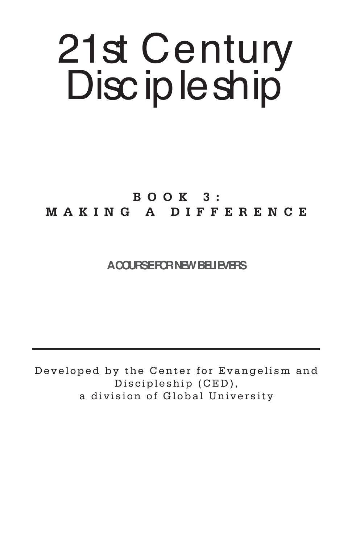# 21st Century Disc ip le ship

# **BOOK 3: MAKING A DIFFERENCE**

# **A COURSE FOR NEW BELIEVERS**

Developed by the Center for Evangelism and Discipleship (CED), a division of Global University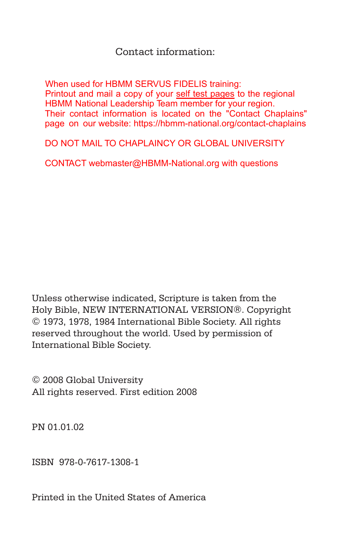# Contact information:

When used for HBMM SERVUS FIDELIS training: Printout and mail a copy of your self test pages to the regional HBMM National Leadership Team member for your region. Their contact information is located on the "Contact Chaplains" page on our website: https://hbmm-national.org/contact-chaplains

DO NOT MAIL TO CHAPLAINCY OR GLOBAL UNIVERSITY

CONTACT webmaster@HBMM-National.org with questions

Unless otherwise indicated, Scripture is taken from the Holy Bible, NEW INTERNATIONAL VERSION®. Copyright © 1973, 1978, 1984 International Bible Society. All rights reserved throughout the world. Used by permission of International Bible Society.

© 2008 Global University All rights reserved. First edition 2008

PN 01.01.02

ISBN 978-0-7617-1308-1

Printed in the United States of America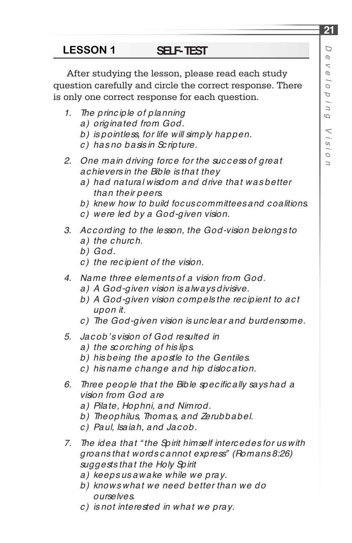After studying the lesson, please read each study question carefully and circle the correct response. There is only one correct response for each question.

- *1. The princ iple of planning* 
	- *a) originated from God.*
	- *b) is pointless, for life will simply happen.*
	- *c ) has no basis in Sc ripture.*
- *2. One main driving forc e for the suc c ess of great ac hievers in the Bible is that they*
	- *a) had natural wisdom and drive that was better than their peers.*
	- *b) knew how to build focus committees and coalitions.*
	- *c ) were led by a God-given vision.*
- *3. Ac c ording to the lesson, the God-vision belongs to a) the c hurc h.*
	- *b) God.*
	- *c ) the rec ipient of the vision.*
- *4. Name three elements of a vision from God.*
	- *a) A God-given vision is always divisive.*
	- *b) A God-given vision c ompels the rec ipient to ac t upon it.*
	- *c ) The God-given vision is unc lear and burdensome.*
- *5. Jac ob's vision of God resulted in*
	- *a) the sc orc hing of his lips.*
	- *b) his being the apostle to the Gentiles.*
	- *c ) his name c hange and hip disloc ation.*
- 6. Three people that the Bible specifically says had a *vision from God are*
	- *a) Pilate, Hophni, and Nimrod.*
	- *b) Theophilus, Thomas, and Zerubbabel.*
	- *c ) Paul, Isaiah, and Jac ob.*
- *7. The idea that " the Spirit himself interc edes for us with groans that words c annot express" (Romans 8:26) suggests that the Holy Spirit*
	- *a) keeps us awake while we pray.*
	- *b) knows what we need better than we do ourselves.*
	- *c ) is not interested in what we pray.*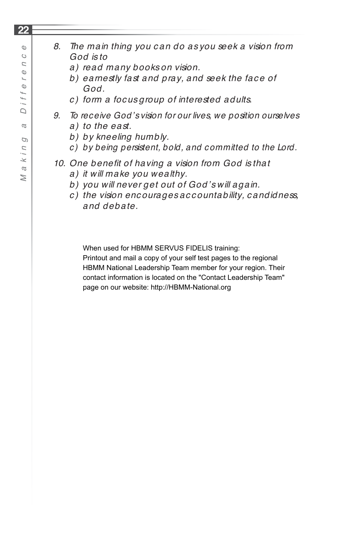# *8. The main thing you c an do as you seek a vision from God is to*

- *a) read many books on vision.*
- b) earnestly fast and pray, and seek the face of *God.*
- *c ) form a foc us group of interested adults.*
- *9. To receive God's vision for our lives, we position ourselves a) to the east.*
	- *b) by kneeling humbly.*
	- *c ) by being persistent, bold, and c ommitted to the Lord.*

# 10. One benefit of having a vision from God is that

- *a) it will make you wealthy.*
- *b) you will never get out of God's will again.*
- *c ) the vision enc ourages ac c ountability, c andidness, and debate.*

When used for HBMM SERVUS FIDELIS training:

Printout and mail a copy of your self test pages to the regional HBMM National Leadership Team member for your region. Their contact information is located on the "Contact Leadership Team" page on our website: http://HBMM-National.org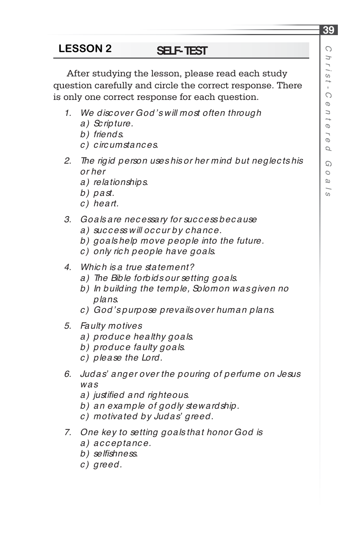After studying the lesson, please read each study question carefully and circle the correct response. There is only one correct response for each question.

- *1. We disc over God's will most often through*
	- *a) Sc ripture.*
	- *b) friends.*
	- *c ) c irc umstanc es.*
- *2. The rigid person uses his or her mind but neglec ts his or her* 
	- *a) relationships.*
	- *b) past.*
	- *c ) heart.*
- *3. Goals are nec essary for suc c ess bec ause*
	- *a) suc c ess will oc c ur by c hanc e.*
	- *b) goals help move people into the future.*
	- *c ) only ric h people have goals.*
- *4. Whic h is a true statement?*
	- *a) The Bible forbids our setting goals.*
	- *b) In building the temple, Solomon was given no plans.*
	- *c ) God's purpose prevails over human plans.*
- *5. Faulty motives*
	- *a) produc e healthy goals.*
	- *b) produc e faulty goals.*
	- *c ) please the Lord.*
- *6. Judas' anger over the pouring of perfume on Jesus was*
	- a) justified and righteous.
	- *b) an example of godly stewardship.*
	- *c ) motivated by Judas' greed.*
- *7. One key to setting goals that honor God is*
	- *a) acceptance.*
	- *b) selfi shness.*
	- *c ) greed.*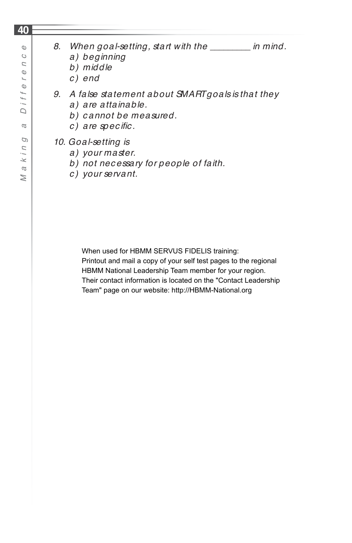### **40**

- *a) beginning*
- *b) middle*
- *c) end*
- *9. A false statement about SMART goals is that they*
	- *a) are attainable.*
	- *b) c annot be measured.*
	- *c*) are specific.

*10. Goal-setting is* 

- *a) your master.*
- *b) not nec essary for people of faith.*
- *c ) your servant.*

When used for HBMM SERVUS FIDELIS training:

Printout and mail a copy of your self test pages to the regional HBMM National Leadership Team member for your region. Their contact information is located on the "Contact Leadership Team" page on our website: http://HBMM-National.org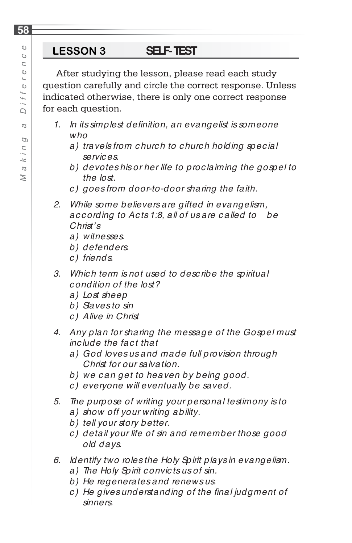After studying the lesson, please read each study question carefully and circle the correct response. Unless indicated otherwise, there is only one correct response for each question.

- 1. In its simplest definition, an evangelist is someone *who*
	- *a) travels from c hurc h to c hurc h holding spec ial servic es.*
	- *b) devotes his or her life to proc laiming the gospel to the lost.*
	- *c ) goes from door-to-door sharing the faith.*
- *2. While some believers are gifted in evangelism, ac c ording to Ac ts 1:8, all of us are c alled to be Christ's*
	- *a) witnesses.*
	- *b) defenders.*
	- *c ) friends.*
- *3. Whic h term is not used to desc ribe the spiritual c ondition of the lost?*
	- *a) Lost sheep*
	- *b) Slaves to sin*
	- *c ) Alive in Christ*
- *4. Any plan for sharing the message of the Gospel must inc lude the fac t that*
	- *a) God loves us and made full provision through Christ for our salvation.*
	- *b) we c an get to heaven by being good.*
	- *c ) everyone will eventually be saved.*
- *5. The purpose of writing your personal testimony is to*
	- *a) show off your writing ability.*
	- *b) tell your story better.*
	- *c ) detail your life of sin and remember those good old days.*
- *6. Identify two roles the Holy Spirit plays in evangelism.*
	- *a) The Holy Spirit c onvic ts us of sin.*
	- *b) He regenerates and renews us.*
	- *c*) He gives understanding of the final judgment of *sinners.*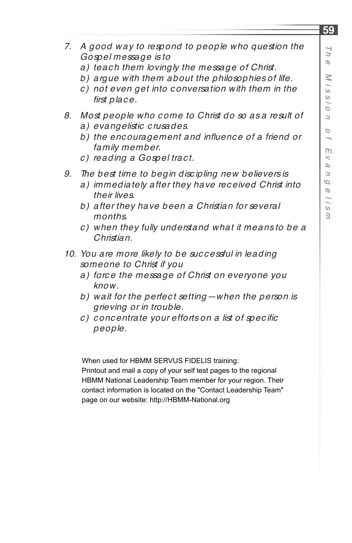- *7. A good way to respond to people who question the Gospel message is to* 
	- *a) teac h them lovingly the message of Christ.*
	- *b) argue with them about the philosophies of life.*
	- *c ) not even get into c onversation with them in the*  first place.
- *8. Most people who c ome to Christ do so as a result of a) evangelistic c rusades.*
	- b) the encouragement and influence of a friend or *family member.*
	- *c ) reading a Gospel trac t.*
- *9. The best time to begin disc ipling new believers is*
	- *a) immediately after they have rec eived Christ into their lives.*
	- *b) after they have been a Christian for several months.*
	- *c ) when they fully understand what it means to be a Christian.*
- *10. You are more likely to be suc c essful in leading someone to Christ if you*
	- *a) forc e the message of Christ on everyone you know.*
	- *b) wait for the perfec t setting—when the person is grieving or in trouble.*
	- *c*) concentrate your efforts on a list of specific *people.*

When used for HBMM SERVUS FIDELIS training:

Printout and mail a copy of your self test pages to the regional HBMM National Leadership Team member for your region. Their contact information is located on the "Contact Leadership Team" page on our website: http://HBMM-National.org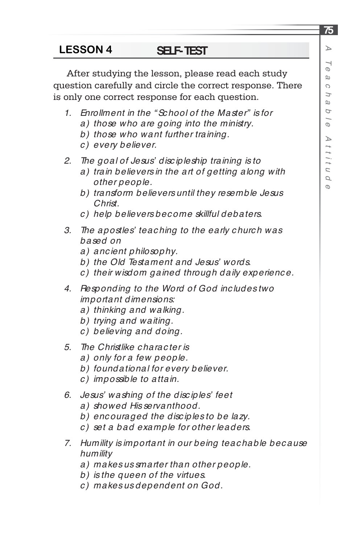# **75** *ATe a* $\circ$  *h a bl eA t t i t u d e*

### **SELF-TEST LESSON 4**

After studying the lesson, please read each study question carefully and circle the correct response. There is only one correct response for each question.

- *1. Enrollment in the " Sc hool of the Master" is for*
	- *a) those who are going into the ministry.*
	- *b) those who want further training.*
	- *c ) every believer.*
- *2. The goal of Jesus' disc ipleship training is to*
	- *a) train believers in the art of getting along with other people.*
	- *b) transform believers until they resemble Jesus Christ.*
	- *c ) help believers bec ome skillful debaters.*
- *3. The apostles' teac hing to the early c hurc h was based on*
	- *a) anc ient philosophy.*
	- *b) the Old Testament and Jesus' words.*
	- *c ) their wisdom gained through daily experienc e.*
- *4. Responding to the Word of God inc ludes two important dimensions:*
	- *a) thinking and walking.*
	- *b) trying and waiting.*
	- *c ) believing and doing.*
- *5. The Christlike c harac ter is*
	- *a) only for a few people.*
	- *b) foundational for every believer.*
	- *c ) impossible to attain.*
- *6. Jesus' washing of the disc iples' feet* 
	- *a) showed His servanthood.*
	- *b) enc ouraged the disc iples to be lazy.*
	- *c ) set a bad example for other leaders.*
- *7. Humility is important in our being teac hable bec ause humility*
	- *a) makes us smarter than other people.*
	- *b) is the queen of the virtues.*
	- *c ) makes us dependent on God.*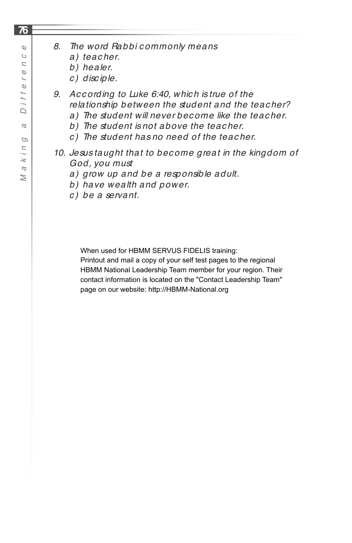- *a) teac her.*
- *b) healer.*
- *c ) disc iple.*
- *9. Ac c ording to Luke 6:40, whic h is true of the relationship between the student and the teac her?*
	- *a) The student will never bec ome like the teac her.*
	- *b) The student is not above the teac her.*
	- *c ) The student has no need of the teac her.*
- *10. Jesus taught that to bec ome great in the kingdom of God, you must*
	- *a) grow up and be a responsible adult.*
	- *b) have wealth and power.*
	- *c ) be a servant.*

When used for HBMM SERVUS FIDELIS training:

Printout and mail a copy of your self test pages to the regional HBMM National Leadership Team member for your region. Their contact information is located on the "Contact Leadership Team" page on our website: http://HBMM-National.org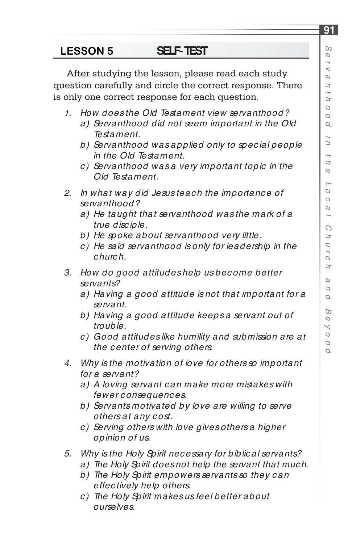After studying the lesson, please read each study question carefully and circle the correct response. There is only one correct response for each question.

- *1. How does the Old Testament view servanthood?*
	- *a) Servanthood did not seem important in the Old Testament.*
	- *b) Servanthood was applied only to spec ial people in the Old Testament.*
	- *c ) Servanthood was a very important topic in the Old Testament.*
- *2. In what way did Jesus teac h the importanc e of servanthood?*
	- *a) He taught that servanthood was the mark of a true disc iple.*
	- *b) He spoke about servanthood very little.*
	- *c ) He said servanthood is only for leadership in the c hurc h.*
- *3. How do good attitudes help us bec ome better servants?*
	- *a) Having a good attitude is not that important for a servant.*
	- *b) Having a good attitude keeps a servant out of trouble.*
	- *c ) Good attitudes like humility and submission are at the c enter of serving others.*
- *4. Why is the motivation of love for others so important for a servant?*
	- *a) A loving servant c an make more mistakes with fewer c onsequenc es.*
	- *b) Servants motivated by love are willing to serve others at any c ost.*
	- *c ) Serving others with love gives others a higher opinion of us.*
- *5. Why is the Holy Spirit nec essary for biblic al servants?*
	- *a) The Holy Spirit does not help the servant that much.*
	- *b) The Holy Spirit empowers servants so they c an effec tively help others.*
	- *c ) The Holy Spirit makes us feel better about ourselves.*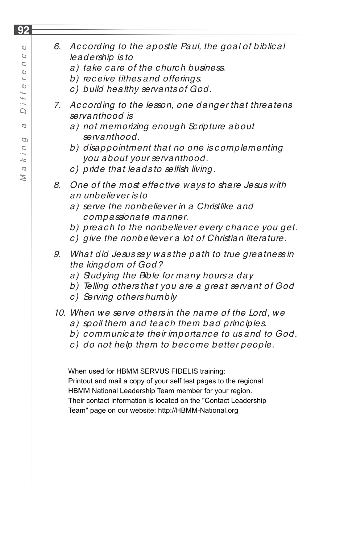$\geq$ 

- *6. Ac c ording to the apostle Paul, the goal of biblic al leadership is to* 
	- *a) take c are of the c hurc h business.*
	- *b) rec eive tithes and offerings.*
	- *c ) build healthy servants of God.*
- *7. Ac c ording to the lesson, one danger that threatens servanthood is*
	- *a) not memorizing enough Sc ripture about servanthood.*
	- *b) disappointment that no one is c omplementing you about your servanthood.*
	- *c*) pride that leads to selfish living.
- *8. One of the most effec tive ways to share Jesus with an unbeliever is to*
	- *a) serve the nonbeliever in a Christlike and c ompassionate manner.*
	- *b) preac h to the nonbeliever every c hanc e you get.*
	- *c ) give the nonbeliever a lot of Christian literature.*
- *9. What did Jesus say was the path to true greatness in the kingdom of God?*
	- *a) Studying the Bible for many hours a day*
	- *b) Telling others that you are a great servant of God*
	- *c ) Serving others humbly*

# *10. When we serve others in the name of the Lord, we*

- *a) spoil them and teac h them bad princ iples.*
- *b) c ommunic ate their importanc e to us and to God.*
- *c ) do not help them to bec ome better people.*

When used for HBMM SERVUS FIDELIS training: Printout and mail a copy of your self test pages to the regional HBMM National Leadership Team member for your region. Their contact information is located on the "Contact Leadership Team" page on our website: http://HBMM-National.org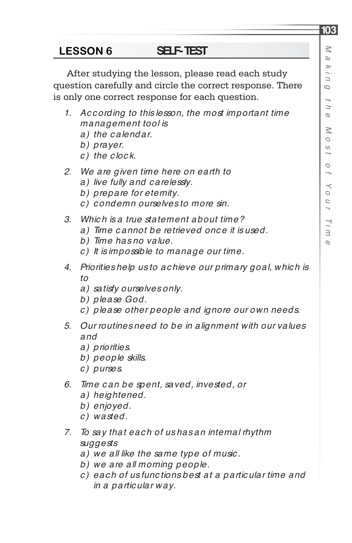**103**

### **SELF-TEST LESSON 6**

After studying the lesson, please read each study question carefully and circle the correct response. There is only one correct response for each question.

- *1. Ac c ording to this lesson, the most important time management tool is*
	- *a) the c alendar.*
	- *b) prayer.*
	- *c ) the c loc k.*
- *2. We are given time here on earth to*
	- *a) live fully and c arelessly.*
	- *b) prepare for eternity.*
	- *c ) c ondemn ourselves to more sin.*
- *3. Whic h is a true statement about time?*
	- *a) Time c annot be retrieved onc e it is used.*
	- *b) Time has no value.*
	- *c ) It is impossible to manage our time.*
- *4. Priorities help us to ac hieve our primary goal, whic h is to* 
	- *a) satisfy ourselves only.*
	- *b) please God.*
	- *c ) please other people and ignore our own needs.*
- *5. Our routines need to be in alignment with our values and*
	- *a) priorities.*
	- *b) people skills.*
	- *c ) purses.*
- *6. Time c an be spent, saved, invested, or*
	- *a) heightened.*
	- *b) enjoyed.*
	- *c ) wasted.*
- *7. To say that eac h of us has an internal rhythm suggests* 
	- *a) we all like the same type of music .*
	- *b) we are all morning people.*
	- *c ) eac h of us func tions best at a partic ular time and in a partic ular way.*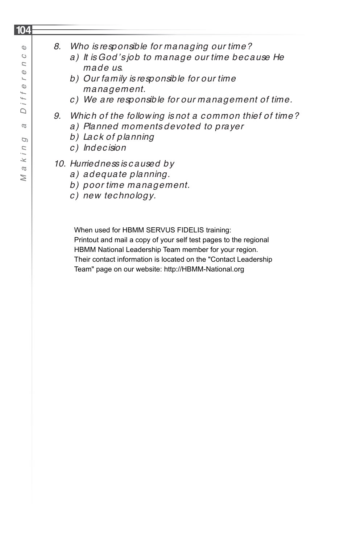$\mathbb O$  $\circ$  $\overline{C}$  $\mathbb{O}$  $\overline{a}$  $\mathbb{O}$  $\ddot{}$ i i  $\Box$  $\alpha$ D  $\overline{z}$  $k, j$  $\omega$  $\geq$ 

*Ma king a Differenc e*

- *8. Who is responsible for managing our time?*
	- *a) It is God's job to manage our time bec ause He made us.*
	- *b) Our family is responsible for our time management.*
	- *c ) We are responsible for our management of time.*
- *9. Whic h of the following is not a c ommon thief of time?*
	- *a) Planned moments devoted to prayer*
	- *b) Lac k of planning*
	- *c ) Indec ision*
- *10. Hurriedness is c aused by* 
	- *a) adequate planning.*
	- *b) poor time management.*
	- *c ) new tec hnology.*

When used for HBMM SERVUS FIDELIS training:

Printout and mail a copy of your self test pages to the regional HBMM National Leadership Team member for your region. Their contact information is located on the "Contact Leadership Team" page on our website: http://HBMM-National.org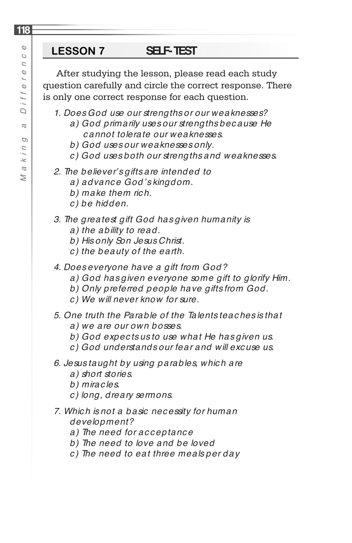After studying the lesson, please read each study question carefully and circle the correct response. There is only one correct response for each question.

- *1. Does God use our strengths or our weaknesses?*
	- *a) God primarily uses our strengths bec ause He c annot tolerate our weaknesses.*
	- *b) God uses our weaknesses only.*
	- *c ) God uses both our strengths and weaknesses.*
- *2. The believer's gifts are intended to* 
	- *a) advanc e God's kingdom.*
	- *b) make them ric h.*
	- *c ) be hidden.*
- *3. The greatest gift God has given humanity is*
	- *a) the ability to read.*
	- *b) His only Son Jesus Christ.*
	- *c ) the beauty of the earth.*
- *4. Does everyone have a gift from God?*
	- *a) God has given everyone some gift to glorify Him.*
	- *b) Only preferred people have gifts from God.*
	- *c ) We will never know for sure.*
- *5. One truth the Parable of the Talents teac hes is that*
	- *a) we are our own bosses.*
	- *b) God expec ts us to use what He has given us.*
	- *c ) God understands our fear and will exc use us.*
- *6. Jesus taught by using parables, whic h are*
	- *a) short stories.*
	- *b) mirac les.*
	- *c ) long, dreary sermons.*
- *7. Whic h is not a basic nec essity for human development?*
	- *a) The need for ac c eptanc e*
	- *b) The need to love and be loved*
	- *c ) The need to eat three meals per day*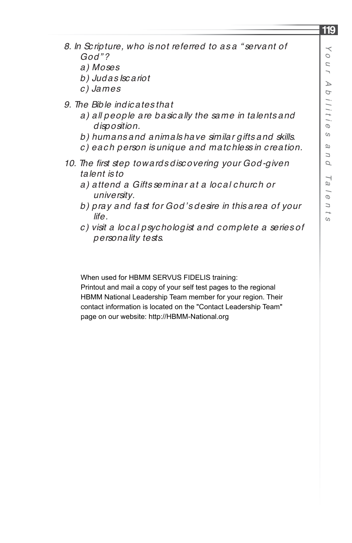- *8. In Sc ripture, who is not referred to as a " servant of God"?*
	- *a) Moses*
	- *b) Judas Isc ariot*
	- *c ) James*
- *9. The Bible indic ates that*
	- *a) all people are basic ally the same in talents and disposition.*
	- *b) humans and animals have similar gifts and skills.*
	- *c ) eac h person is unique and matc hless in c reation.*
- 10. The first step towards discovering your God-given *talent is to*
	- *a) attend a Gifts seminar at a loc al c hurc h or university.*
	- *b) pray and fast for God's desire in this area of your life.*
	- *c ) visit a loc al psyc hologist and c omplete a series of personality tests.*

When used for HBMM SERVUS FIDELIS training:

Printout and mail a copy of your self test pages to the regional HBMM National Leadership Team member for your region. Their contact information is located on the "Contact Leadership Team" page on our website: http://HBMM-National.org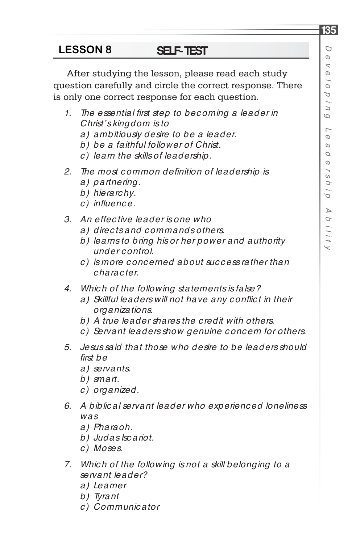# *De* $\prec$  *elo p in gLe a d ersh ipA b ilit*

 $\checkmark$ 

**135**

### **SELF-TEST LESSON 8**

After studying the lesson, please read each study question carefully and circle the correct response. There is only one correct response for each question.

- 1. The essential first step to becoming a leader in *Christ's kingdom is to* 
	- *a) ambitiously desire to be a leader.*
	- *b) be a faithful follower of Christ.*
	- *c ) learn the skills of leadership.*
- 2. The most common definition of leadership is *a) partnering.*
	- *b) hierarc hy.*
	- *c ) infl uenc e.*
- *3. An effec tive leader is one who*
	- *a) direc ts and c ommands others.*
	- *b) learns to bring his or her power and authority under c ontrol.*
	- *c ) is more c onc erned about suc c ess rather than c harac ter.*
- *4. Whic h of the following statements is false?*
	- a) Skillful leaders will not have any conflict in their *organizations.*
	- *b) A true leader shares the c redit with others.*
	- *c ) Servant leaders show genuine c onc ern for others.*
- *5. Jesus said that those who desire to be leaders should fi rst be*
	- *a) servants.*
	- *b) smart.*
	- *c ) organized.*
- *6. A biblic al servant leader who experienc ed loneliness was* 
	- *a) Pharaoh.*
	- *b) Judas Isc ariot.*
	- *c ) Moses.*
- *7. Whic h of the following is not a skill belonging to a servant leader?*
	- *a) Learner*
	- *b) Tyrant*
	- *c ) Communic ator*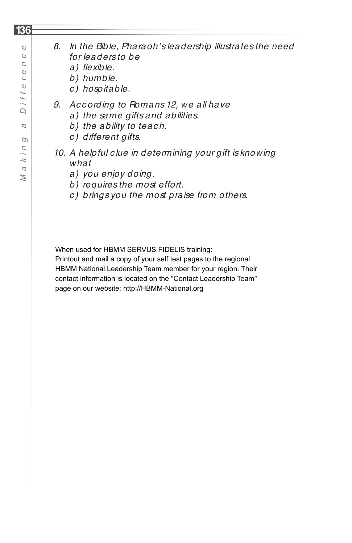# *8. In the Bible, Pharaoh's leadership illustrates the need for leaders to be*

- a) flexible.
- *b) humble.*
- *c ) hospitable.*
- *9. Ac c ording to Romans 12, we all have*
	- *a) the same gifts and abilities.*
	- b) the ability to teach.
	- *c ) different gifts.*
- *10. A helpful c lue in determining your gift is knowing what*
	- *a) you enjoy doing.*
	- *b) requires the most effort.*
	- *c ) brings you the most praise from others.*

When used for HBMM SERVUS FIDELIS training:

Printout and mail a copy of your self test pages to the regional HBMM National Leadership Team member for your region. Their contact information is located on the "Contact Leadership Team" page on our website: http://HBMM-National.org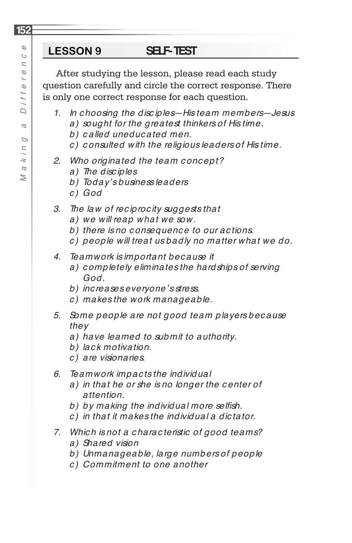After studying the lesson, please read each study question carefully and circle the correct response. There is only one correct response for each question.

- *1. In c hoosing the disc iples—His team members—Jesus* 
	- *a) sought for the greatest thinkers of His time.*
	- *b) c alled uneduc ated men.*
	- *c ) c onsulted with the religious leaders of His time.*
- *2. Who originated the team c onc ept?*
	- *a) The disc iples*
	- *b) Today's business leaders*
	- *c) God*

# *3. The law of rec iproc ity suggests that*

- *a) we will reap what we sow.*
- *b) there is no c onsequenc e to our ac tions.*
- *c ) people will treat us badly no matter what we do.*
- *4. Teamwork is important bec ause it*
	- *a) c ompletely eliminates the hardships of serving God.*
	- *b) inc reases everyone's stress.*
	- *c ) makes the work manageable.*
- *5. Some people are not good team players bec ause they*
	- *a) have learned to submit to authority.*
	- *b) lac k motivation.*
	- *c ) are visionaries.*
- *6. Teamwork impac ts the individual*
	- *a) in that he or she is no longer the c enter of attention.*
	- b) by making the individual more selfish.
	- *c ) in that it makes the individual a dic tator.*
- *7. Whic h is not a c harac teristic of good teams?*
	- *a) Shared vision*
	- *b) Unmanageable, large numbers of people*
	- *c ) Commitment to one another*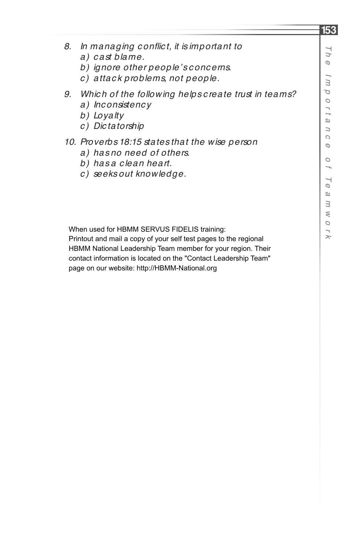- *8. In managing c onfl ic t, it is important to*
	- *a) c ast blame.*
	- *b) ignore other people's c onc erns.*
	- *c ) attac k problems, not people.*
- *9. Whic h of the following helps c reate trust in teams?*
	- *a) Inc onsistenc y*
	- *b) Loyalty*
	- *c ) Dic tatorship*

### *10. Proverbs 18:15 states that the wise person*

- *a) has no need of others.*
- *b) has a c lean heart.*
- *c ) seeks out knowledge.*

When used for HBMM SERVUS FIDELIS training:

Printout and mail a copy of your self test pages to the regional HBMM National Leadership Team member for your region. Their contact information is located on the "Contact Leadership Team" page on our website: http://HBMM-National.org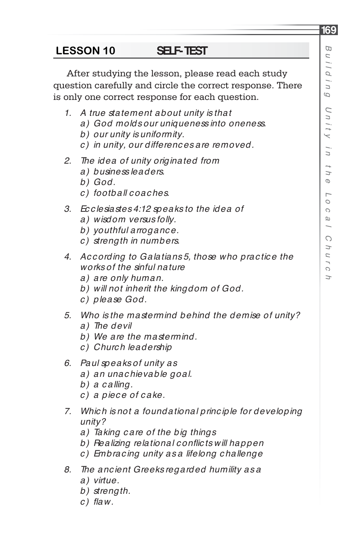After studying the lesson, please read each study question carefully and circle the correct response. There is only one correct response for each question.

- *1. A true statement about unity is that* 
	- *a) God molds our uniqueness into oneness.*
	- *b) our unity is uniformity.*
	- *c ) in unity, our differenc es are removed.*
- *2. The idea of unity originated from*
	- *a) business leaders.*
	- *b) God.*
	- *c ) football c oac hes.*
- *3. Ec c lesiastes 4:12 speaks to the idea of* 
	- *a) wisdom versus folly.*
	- *b) youthful arroganc e.*
	- *c ) strength in numbers.*
- *4. Ac c ording to Galatians 5, those who prac tic e the works of the sinful nature*
	- *a) are only human.*
	- *b) will not inherit the kingdom of God.*
	- *c ) please God.*
- *5. Who is the mastermind behind the demise of unity?*
	- *a) The devil*
	- *b) We are the mastermind.*
	- *c ) Churc h leadership*
- *6. Paul speaks of unity as*
	- *a) an unac hievable goal.*
	- *b) a c alling.*
	- *c ) a piec e of c ake.*
- *7. Whic h is not a foundational princ iple for developing unity?*
	- *a) Taking c are of the big things*
	- *b) Realizing relational c onfl ic ts will happen*
	- *c ) Embrac ing unity as a lifelong c hallenge*
- *8. The anc ient Greeks regarded humility as a* 
	- *a) virtue.*
	- *b) strength.*
	- $c)$  *flaw.*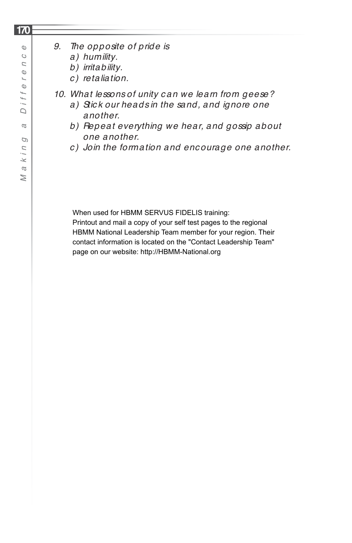- *a) humility.*
- *b) irritability.*
- *c ) retaliation.*
- *10. What lessons of unity c an we learn from geese?*
	- *a) Stic k our heads in the sand, and ignore one another.*
	- *b) Repeat everything we hear, and gossip about one another.*
	- *c ) Join the formation and enc ourage one another.*

When used for HBMM SERVUS FIDELIS training:

Printout and mail a copy of your self test pages to the regional HBMM National Leadership Team member for your region. Their contact information is located on the "Contact Leadership Team" page on our website: http://HBMM-National.org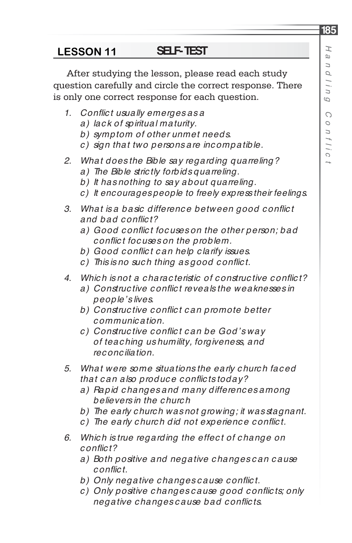*t*

### **SELF-TEST LESSON 11**

After studying the lesson, please read each study question carefully and circle the correct response. There is only one correct response for each question.

- *1. Confl ic t usually emerges as a* 
	- *a) lac k of spiritual maturity.*
	- *b) symptom of other unmet needs.*
	- *c ) sign that two persons are inc ompatible.*
- *2. What does the Bible say regarding quarreling?*
	- *a) The Bible stric tly forbids quarreling.*
	- *b) It has nothing to say about quarreling.*
	- *c) It encourages people to freely express their feelings.*
- 3. What is a basic difference between good conflict and had conflict?
	- a) Good conflict focuses on the other person; bad *confl ic t foc uses on the problem.*
	- *b) Good c onfl ic t c an help c larify issues.*
	- *c ) This is no suc h thing as good c onfl ic t.*
- *4. Whic h is not a c harac teristic of c onstruc tive c onfl ic t?*
	- a) Constructive conflict reveals the weaknesses in *people's lives.*
	- *b) Construc tive c onfl ic t c an promote better c ommunic ation.*
	- *c ) Construc tive c onfl ic t c an be God's way of teac hing us humility, forgiveness, and rec onc iliation.*
- *5. What were some situations the early c hurc h fac ed that c an also produc e c onfl ic ts today?*
	- *a) Rapid c hanges and many differenc es among believers in the c hurc h*
	- *b) The early church was not growing; it was stagnant.*
	- *c*) The early church did not experience conflict.
- *6. Whic h is true regarding the effec t of c hange on confl ic t?*
	- *a) Both positive and negative c hanges c an c ause confl ic t.*
	- *b) Only negative c hanges c ause c onfl ic t.*
	- *c*) Only positive changes cause good conflicts; only *negative c hanges c ause bad c onfl ic ts.*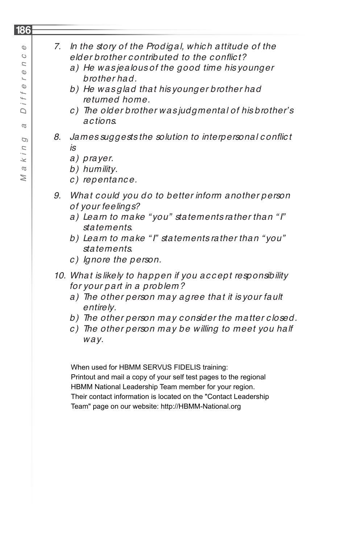| 7. | In the story of the Prodigal, which attitude of the<br>elder brother contributed to the conflict?<br>a) He wasjealous of the good time his younger<br>brother had.<br>b) He wasglad that his younger brother had<br>returned home.<br>c) The older brother was judgmental of his brother's<br>actions. |
|----|--------------------------------------------------------------------------------------------------------------------------------------------------------------------------------------------------------------------------------------------------------------------------------------------------------|
| 8. | James suggests the solution to interpersonal conflict<br>is<br>a) prayer.<br>b) humility.<br>c) repentance.                                                                                                                                                                                            |
| 9. | What could you do to better inform another person<br>of your feelings?<br>a) Learn to make "you" statements rather than "I"<br>statements.<br>b) Learn to make "I" statements rather than "you"<br>statements.<br>c) Ignore the person.                                                                |
|    | 10. What is likely to happen if you accept responsibility<br>for your part in a problem?<br>a) The other person may agree that it is your fault<br>entirely.<br>b) The other person may consider the matter closed.<br>The other person may be willing to meet you half<br>C)<br>way.                  |

When used for HBMM SERVUS FIDELIS training: Printout and mail a copy of your self test pages to the regional HBMM National Leadership Team member for your region. Their contact information is located on the "Contact Leadership Team" page on our website: http://HBMM-National.org

# **186**

 $\mathbb{O}$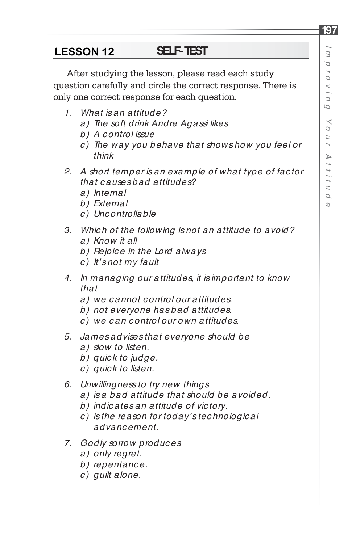**197**

### **SELF-TEST LESSON 12**

After studying the lesson, please read each study question carefully and circle the correct response. There is only one correct response for each question.

- *1. What is an attitude?*
	- *a) The soft drink Andre Agassi likes*
	- *b) A c ontrol issue*
	- *c ) The way you behave that shows how you feel or think*
- *2. A short temper is an example of what type of fac tor that c auses bad attitudes?*
	- *a) Internal*
	- *b) External*
	- *c ) Unc ontrollable*
- *3. Whic h of the following is not an attitude to avoid? a) Know it all*
	- *b) Rejoic e in the Lord always*
	- *c ) It's not my fault*
- *4. In managing our attitudes, it is important to know that*
	- *a) we c annot c ontrol our attitudes.*
	- *b) not everyone has bad attitudes.*
	- *c ) we c an c ontrol our own attitudes.*
- *5. James advises that everyone should be*
	- *a) slow to listen.*
	- *b) quic k to judge.*
	- *c ) quic k to listen.*
- *6. Unwillingness to try new things*
	- *a) is a bad attitude that should be avoided.*
	- *b) indic ates an attitude of vic tory.*
	- *c ) is the reason for today's tec hnologic al advancement.*
- *7. Godly sorrow produc es*
	- *a) only regret.*
	- *b) repentanc e.*
	- *c ) guilt alone.*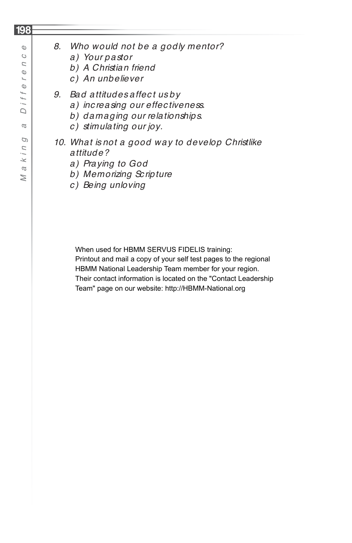# *8. Who would not be a godly mentor?*

- *a) Your pastor*
- *b) A Christian friend*
- *c ) An unbeliever*
- *9. Bad attitudes affec t us by* 
	- *a) inc reasing our effec tiveness.*
	- *b) damaging our relationships.*
	- *c ) stimulating our joy.*
- *10. What is not a good way to develop Christlike attitude?*
	- *a) Praying to God*
	- *b) Memorizing Sc ripture*
	- *c ) Being unloving*

When used for HBMM SERVUS FIDELIS training: Printout and mail a copy of your self test pages to the regional HBMM National Leadership Team member for your region. Their contact information is located on the "Contact Leadership Team" page on our website: http://HBMM-National.org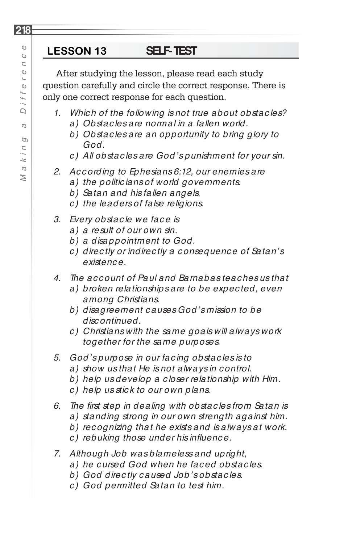After studying the lesson, please read each study question carefully and circle the correct response. There is only one correct response for each question.

- *1. Whic h of the following is not true about obstac les? a) Obstac les are normal in a fallen world.*
	- *b) Obstac les are an opportunity to bring glory to God.*
	- *c ) All obstac les are God's punishment for your sin.*
- *2. Ac c ording to Ephesians 6:12, our enemies are*
	- *a) the politic ians of world governments.*
	- *b) Satan and his fallen angels.*
	- *c ) the leaders of false religions.*
- *3. Every obstac le we fac e is*
	- *a) a result of our own sin.*
	- *b) a disappointment to God.*
	- *c ) direc tly or indirec tly a c onsequenc e of Satan's existenc e.*
- *4. The ac c ount of Paul and Barnabas teac hes us that*
	- *a) broken relationships are to be expec ted, even among Christians.*
	- *b) disagreement c auses God's mission to be disc ontinued.*
	- *c ) Christians with the same goals will always work together for the same purposes.*
- *5. God's purpose in our fac ing obstac les is to*
	- *a) show us that He is not always in c ontrol.*
	- *b) help us develop a c loser relationship with Him.*
	- *c ) help us stic k to our own plans.*
- *6. The fi rst step in dealing with obstac les from Satan is*
	- *a) standing strong in our own strength against him.*
	- *b) rec ognizing that he exists and is always at work.*
	- $c)$  rebuking those under his influence.
- *7. Although Job was blameless and upright,* 
	- *a) he c ursed God when he fac ed obstac les.*
	- *b) God direc tly c aused Job's obstac les.*
	- *c ) God permitted Satan to test him.*